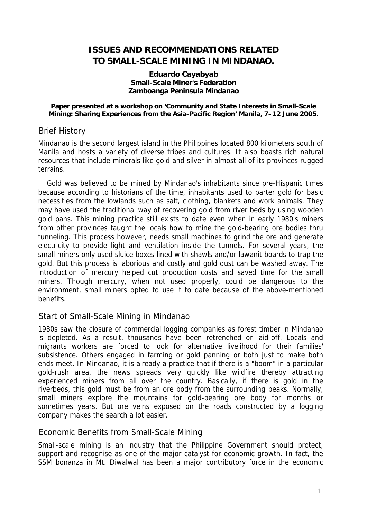# **ISSUES AND RECOMMENDATIONS RELATED TO SMALL-SCALE MINING IN MINDANAO.**

#### **Eduardo Cayabyab Small-Scale Miner's Federation Zamboanga Peninsula Mindanao**

#### **Paper presented at a workshop on 'Community and State Interests in Small-Scale Mining: Sharing Experiences from the Asia-Pacific Region' Manila, 7–12 June 2005.**

## Brief History

Mindanao is the second largest island in the Philippines located 800 kilometers south of Manila and hosts a variety of diverse tribes and cultures. It also boasts rich natural resources that include minerals like gold and silver in almost all of its provinces rugged terrains.

Gold was believed to be mined by Mindanao's inhabitants since pre-Hispanic times because according to historians of the time, inhabitants used to barter gold for basic necessities from the lowlands such as salt, clothing, blankets and work animals. They may have used the traditional way of recovering gold from river beds by using wooden gold pans. This mining practice still exists to date even when in early 1980's miners from other provinces taught the locals how to mine the gold-bearing ore bodies thru tunneling. This process however, needs small machines to grind the ore and generate electricity to provide light and ventilation inside the tunnels. For several years, the small miners only used sluice boxes lined with shawls and/or lawanit boards to trap the gold. But this process is laborious and costly and gold dust can be washed away. The introduction of mercury helped cut production costs and saved time for the small miners. Though mercury, when not used properly, could be dangerous to the environment, small miners opted to use it to date because of the above-mentioned benefits.

# Start of Small-Scale Mining in Mindanao

1980s saw the closure of commercial logging companies as forest timber in Mindanao is depleted. As a result, thousands have been retrenched or laid-off. Locals and migrants workers are forced to look for alternative livelihood for their families' subsistence. Others engaged in farming or gold panning or both just to make both ends meet. In Mindanao, it is already a practice that if there is a "boom" in a particular gold-rush area, the news spreads very quickly like wildfire thereby attracting experienced miners from all over the country. Basically, if there is gold in the riverbeds, this gold must be from an ore body from the surrounding peaks. Normally, small miners explore the mountains for gold-bearing ore body for months or sometimes years. But ore veins exposed on the roads constructed by a logging company makes the search a lot easier.

### Economic Benefits from Small-Scale Mining

Small-scale mining is an industry that the Philippine Government should protect, support and recognise as one of the major catalyst for economic growth. In fact, the SSM bonanza in Mt. Diwalwal has been a major contributory force in the economic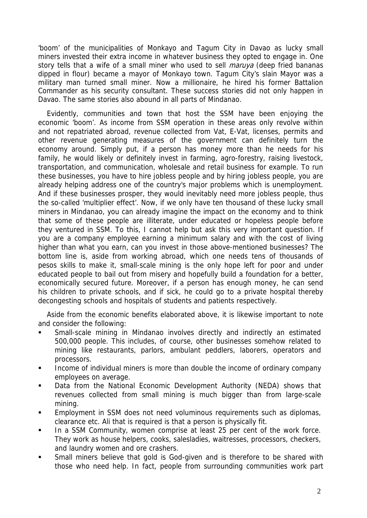'boom' of the municipalities of Monkayo and Tagum City in Davao as lucky small miners invested their extra income in whatever business they opted to engage in. One story tells that a wife of a small miner who used to sell *maruya* (deep fried bananas dipped in flour) became a mayor of Monkayo town. Tagum City's slain Mayor was a military man turned small miner. Now a millionaire, he hired his former Battalion Commander as his security consultant. These success stories did not only happen in Davao. The same stories also abound in all parts of Mindanao.

Evidently, communities and town that host the SSM have been enjoying the economic 'boom'. As income from SSM operation in these areas only revolve within and not repatriated abroad, revenue collected from Vat, E-Vat, licenses, permits and other revenue generating measures of the government can definitely turn the economy around. Simply put, if a person has money more than he needs for his family, he would likely or definitely invest in farming, agro-forestry, raising livestock, transportation, and communication, wholesale and retail business for example. To run these businesses, you have to hire jobless people and by hiring jobless people, you are already helping address one of the country's major problems which is unemployment. And if these businesses prosper, they would inevitably need more jobless people, thus the so-called 'multiplier effect'. Now, if we only have ten thousand of these lucky small miners in Mindanao, you can already imagine the impact on the economy and to think that some of these people are illiterate, under educated or hopeless people before they ventured in SSM. To this, I cannot help but ask this very important question. If you are a company employee earning a minimum salary and with the cost of living higher than what you earn, can you invest in those above-mentioned businesses? The bottom line is, aside from working abroad, which one needs tens of thousands of pesos skills to make it, small-scale mining is the only hope left for poor and under educated people to bail out from misery and hopefully build a foundation for a better, economically secured future. Moreover, if a person has enough money, he can send his children to private schools, and if sick, he could go to a private hospital thereby decongesting schools and hospitals of students and patients respectively.

Aside from the economic benefits elaborated above, it is likewise important to note and consider the following:

- Small-scale mining in Mindanao involves directly and indirectly an estimated 500,000 people. This includes, of course, other businesses somehow related to mining like restaurants, parlors, ambulant peddlers, laborers, operators and processors.
- **Income of individual miners is more than double the income of ordinary company** employees on average.
- Data from the National Economic Development Authority (NEDA) shows that revenues collected from small mining is much bigger than from large-scale mining.
- Employment in SSM does not need voluminous requirements such as diplomas, clearance etc. Ali that is required is that a person is physically fit.
- In a SSM Community, women comprise at least 25 per cent of the work force. They work as house helpers, cooks, salesladies, waitresses, processors, checkers, and laundry women and ore crashers.
- Small miners believe that gold is God-given and is therefore to be shared with those who need help. In fact, people from surrounding communities work part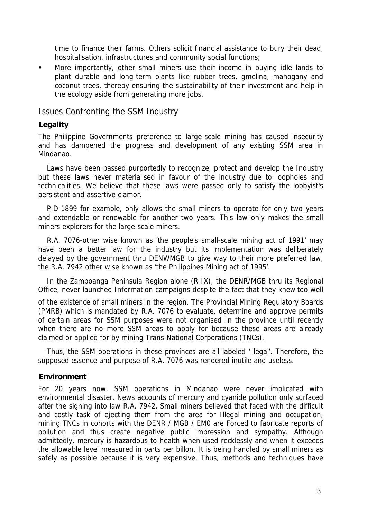time to finance their farms. Others solicit financial assistance to bury their dead, hospitalisation, infrastructures and community social functions;

 More importantly, other small miners use their income in buying idle lands to plant durable and long-term plants like rubber trees, gmelina, mahogany and coconut trees, thereby ensuring the sustainability of their investment and help in the ecology aside from generating more jobs.

Issues Confronting the SSM Industry

### **Legality**

The Philippine Governments preference to large-scale mining has caused insecurity and has dampened the progress and development of any existing SSM area in Mindanao.

Laws have been passed purportedly to recognize, protect and develop the Industry but these laws never materialised in favour of the industry due to loopholes and technicalities. We believe that these laws were passed only to satisfy the lobbyist's persistent and assertive clamor.

P.D-1899 for example, only allows the small miners to operate for only two years and extendable or renewable for another two years. This law only makes the small miners explorers for the large-scale miners.

R.A. 7076-other wise known as 'the people's small-scale mining act of 1991' may have been a better law for the industry but its implementation was deliberately delayed by the government thru DENWMGB to give way to their more preferred law, the R.A. 7942 other wise known as 'the Philippines Mining act of 1995'.

In the Zamboanga Peninsula Region alone (R IX), the DENR/MGB thru its Regional Office, never launched Information campaigns despite the fact that they knew too well

of the existence of small miners in the region. The Provincial Mining Regulatory Boards (PMRB) which is mandated by R.A. 7076 to evaluate, determine and approve permits of certain areas for SSM purposes were not organised In the province until recently when there are no more SSM areas to apply for because these areas are already claimed or applied for by mining Trans-National Corporations (TNCs).

Thus, the SSM operations in these provinces are all labeled 'illegal'. Therefore, the supposed essence and purpose of R.A. 7076 was rendered inutile and useless.

### **Environment**

For 20 years now, SSM operations in Mindanao were never implicated with environmental disaster. News accounts of mercury and cyanide pollution only surfaced after the signing into law R.A. 7942. Small miners believed that faced with the difficult and costly task of ejecting them from the area for Illegal mining and occupation, mining TNCs in cohorts with the DENR / MGB / EM0 are Forced to fabricate reports of pollution and thus create negative public impression and sympathy. Although admittedly, mercury is hazardous to health when used recklessly and when it exceeds the allowable level measured in parts per billon, It is being handled by small miners as safely as possible because it is very expensive. Thus, methods and techniques have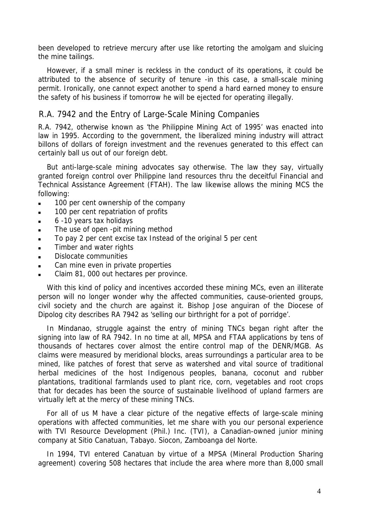been developed to retrieve mercury after use like retorting the amolgam and sluicing the mine tailings.

However, if a small miner is reckless in the conduct of its operations, it could be attributed to the absence of security of tenure -in this case, a small-scale mining permit. Ironically, one cannot expect another to spend a hard earned money to ensure the safety of his business if tomorrow he will be ejected for operating illegally.

# R.A. 7942 and the Entry of Large-Scale Mining Companies

R.A. 7942, otherwise known as 'the Philippine Mining Act of 1995' was enacted into law in 1995. According to the government, the liberalized mining industry will attract billons of dollars of foreign investment and the revenues generated to this effect can certainly ball us out of our foreign debt.

But anti-large-scale mining advocates say otherwise. The law they say, virtually granted foreign control over Philippine land resources thru the deceitful Financial and Technical Assistance Agreement (FTAH). The law likewise allows the mining MCS the following:

- 100 per cent ownership of the company
- **100 per cent repatriation of profits**
- 6 -10 years tax holidays
- **The use of open -pit mining method**
- To pay 2 per cent excise tax Instead of the original 5 per cent
- Timber and water rights
- Dislocate communities
- Can mine even in private properties
- Claim 81, 000 out hectares per province.

With this kind of policy and incentives accorded these mining MCs, even an illiterate person will no longer wonder why the affected communities, cause-oriented groups, civil society and the church are against it. Bishop Jose anguiran of the Diocese of Dipolog city describes RA 7942 as 'selling our birthright for a pot of porridge'.

In Mindanao, struggle against the entry of mining TNCs began right after the signing into law of RA 7942. In no time at all, MPSA and FTAA applications by tens of thousands of hectares cover almost the entire control map of the DENR/MGB. As claims were measured by meridional blocks, areas surroundings a particular area to be mined, like patches of forest that serve as watershed and vital source of traditional herbal medicines of the host Indigenous peoples, banana, coconut and rubber plantations, traditional farmlands used to plant rice, corn, vegetables and root crops that for decades has been the source of sustainable livelihood of upland farmers are virtually left at the mercy of these mining TNCs.

For all of us M have a clear picture of the negative effects of large-scale mining operations with affected communities, let me share with you our personal experience with TVI Resource Development (Phil.) Inc. (TVI), a Canadian-owned junior mining company at Sitio Canatuan, Tabayo. Siocon, Zamboanga del Norte.

In 1994, TVI entered Canatuan by virtue of a MPSA (Mineral Production Sharing agreement) covering 508 hectares that include the area where more than 8,000 small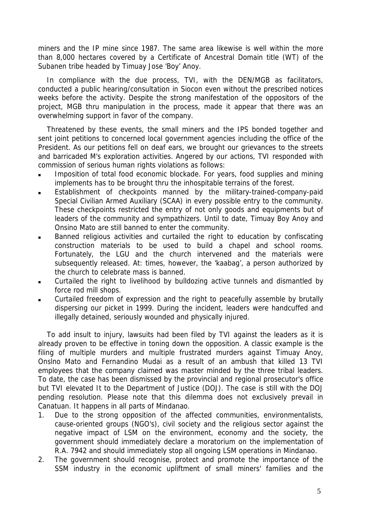miners and the IP mine since 1987. The same area likewise is well within the more than 8,000 hectares covered by a Certificate of Ancestral Domain title (WT) of the Subanen tribe headed by Timuay Jose 'Boy' Anoy.

In compliance with the due process, TVI, with the DEN/MGB as facilitators, conducted a public hearing/consultation in Siocon even without the prescribed notices weeks before the activity. Despite the strong manifestation of the oppositors of the project, MGB thru manipulation in the process, made it appear that there was an overwhelming support in favor of the company.

Threatened by these events, the small miners and the IPS bonded together and sent joint petitions to concerned local government agencies including the office of the President. As our petitions fell on deaf ears, we brought our grievances to the streets and barricaded M's exploration activities. Angered by our actions, TVI responded with commission of serious human rights violations as follows:

- Imposition of total food economic blockade. For years, food supplies and mining implements has to be brought thru the inhospitable terrains of the forest.
- Establishment of checkpoints manned by the military-trained-company-paid Special Civilian Armed Auxiliary (SCAA) in every possible entry to the community. These checkpoints restricted the entry of not only goods and equipments but of leaders of the community and sympathizers. Until to date, Timuay Boy Anoy and Onsino Mato are still banned to enter the community.
- Banned religious activities and curtailed the right to education by confiscating construction materials to be used to build a chapel and school rooms. Fortunately, the LGU and the church intervened and the materials were subsequently released. At: times, however, the 'kaabag', a person authorized by the church to celebrate mass is banned.
- Curtailed the right to livelihood by bulldozing active tunnels and dismantled by force rod mill shops.
- Curtailed freedom of expression and the right to peacefully assemble by brutally dispersing our picket in 1999. During the incident, leaders were handcuffed and illegally detained, seriously wounded and physically injured.

To add insult to injury, lawsuits had been filed by TVI against the leaders as it is already proven to be effective in toning down the opposition. A classic example is the filing of multiple murders and multiple frustrated murders against Timuay Anoy, Onslno Mato and Fernandino Mudai as a result of an ambush that killed 13 TVI employees that the company claimed was master minded by the three tribal leaders. To date, the case has been dismissed by the provincial and regional prosecutor's office but TVI elevated It to the Department of Justice (DOJ). The case is still with the DOJ pending resolution. Please note that this dilemma does not exclusively prevail in Canatuan. It happens in all parts of Mindanao.

- 1. Due to the strong opposition of the affected communities, environmentalists, cause-oriented groups (NGO's), civil society and the religious sector against the negative impact of LSM on the environment, economy and the society, the government should immediately declare a moratorium on the implementation of R.A. 7942 and should immediately stop all ongoing LSM operations in Mindanao.
- 2. The government should recognise, protect and promote the importance of the SSM industry in the economic upliftment of small miners' families and the